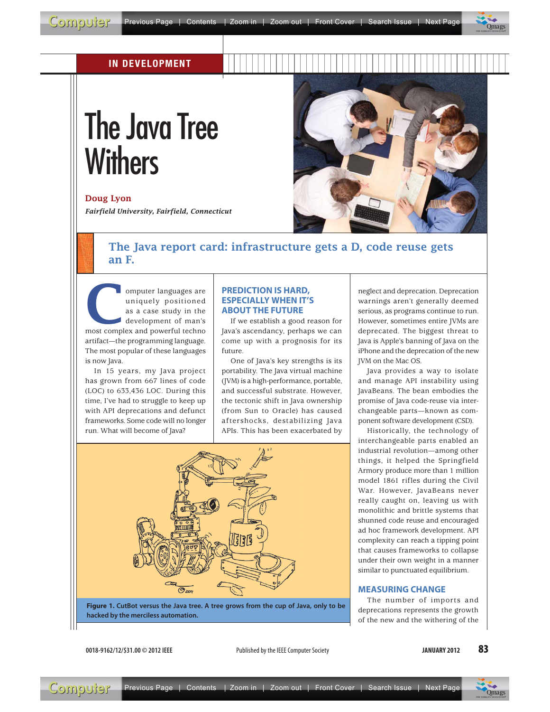

# IN DEVELOPMENT

# The Java Tree Withers

#### Doug Lyon

*Fairfield University, Fairfield, Connecticut*



# The Java report card: infrastructure gets a D, code reuse gets an F.

omputer languages are<br>uniquely positioned<br>as a case study in the<br>development of man's<br>most complex and nowerful techno uniquely positioned as a case study in the development of man's most complex and powerful techno artifact—the programming language. The most popular of these languages is now Java.

In 15 years, my Java project has grown from 667 lines of code (LOC) to 633,436 LOC. During this time, I've had to struggle to keep up with API deprecations and defunct frameworks. Some code will no longer run. What will become of Java?

#### **PREDICTION IS HARD, ESPECIALLY WHEN IT'S ABOUT THE FUTURE**

If we establish a good reason for Java's ascendancy, perhaps we can come up with a prognosis for its future.

One of Java's key strengths is its portability. The Java virtual machine (JVM) is a high-performance, portable, and successful substrate. However, the tectonic shift in Java ownership (from Sun to Oracle) has caused aftershocks, destabilizing Java APIs. This has been exacerbated by



**Figure 1. CutBot versus the Java tree. A tree grows from the cup of Java, only to be hacked by the merciless automation.**

neglect and deprecation. Deprecation warnings aren't generally deemed serious, as programs continue to run. However, sometimes entire JVMs are deprecated. The biggest threat to Java is Apple's banning of Java on the iPhone and the deprecation of the new JVM on the Mac OS.

Java provides a way to isolate and manage API instability using JavaBeans. The bean embodies the promise of Java code-reuse via interchangeable parts—known as component software development (CSD).

Historically, the technology of interchangeable parts enabled an industrial revolution—among other things, it helped the Springfield Armory produce more than 1 million model 1861 rifles during the Civil War. However, JavaBeans never really caught on, leaving us with monolithic and brittle systems that shunned code reuse and encouraged ad hoc framework development. API complexity can reach a tipping point that causes frameworks to collapse under their own weight in a manner similar to punctuated equilibrium.

#### **MEASURING CHANGE**

The number of imports and deprecations represents the growth of the new and the withering of the

**0018-9162/12/\$31.00 © 2012 IEEE** Published by the IEEE Computer Society

**JANUARY 2012** 83

> $\overline{\phantom{a}}$  $\frac{1}{\sqrt{2}}$  $\overline{\phantom{a}}$  $\mathbf{M}$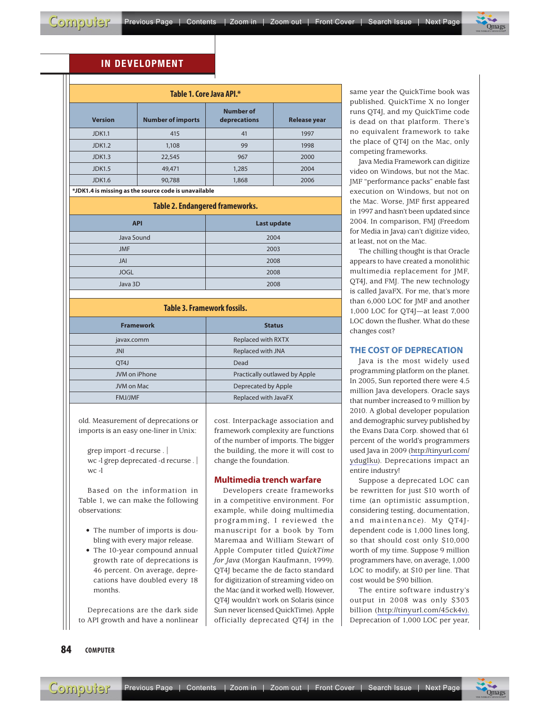π

# IN DEVELOPMENT

| Table 1. Core Java API.*                             |                          |                                  |                     |  |
|------------------------------------------------------|--------------------------|----------------------------------|---------------------|--|
| <b>Version</b>                                       | <b>Number of imports</b> | <b>Number of</b><br>deprecations | <b>Release year</b> |  |
| <b>JDK1.1</b>                                        | 415                      | 41                               | 1997                |  |
| <b>JDK1.2</b>                                        | 1,108                    | 99                               | 1998                |  |
| <b>JDK1.3</b>                                        | 22,545                   | 967                              | 2000                |  |
| <b>JDK1.5</b>                                        | 49,471                   | 1,285                            | 2004                |  |
| <b>JDK1.6</b>                                        | 90,788                   | 1,868                            | 2006                |  |
| *JDK1.4 is missing as the source code is unavailable |                          |                                  |                     |  |
| <b>Table 2. Endangered frameworks.</b>               |                          |                                  |                     |  |
| <b>API</b>                                           |                          | <b>Last update</b>               |                     |  |
| Java Sound                                           |                          | 2004                             |                     |  |
| <b>JMF</b>                                           |                          | 2003                             |                     |  |
| JAI                                                  |                          | 2008                             |                     |  |
| <b>JOGL</b>                                          |                          | 2008                             |                     |  |

| Table 3. Framework fossils. |                               |  |
|-----------------------------|-------------------------------|--|
| <b>Framework</b>            | <b>Status</b>                 |  |
| javax.comm                  | Replaced with RXTX            |  |
| <b>JNI</b>                  | Replaced with JNA             |  |
| OT <sub>4</sub> J           | Dead                          |  |
| JVM on iPhone               | Practically outlawed by Apple |  |
| JVM on Mac                  | Deprecated by Apple           |  |
| <b>FMJ/JMF</b>              | Replaced with JavaFX          |  |
|                             |                               |  |

Java 3D 2008

old. Measurement of deprecations or imports is an easy one-liner in Unix:

grep import -d recurse . | wc -l grep deprecated -d recurse . | wc -l

Based on the information in Table 1, we can make the following observations:

- The number of imports is doubling with every major release.
- The 10-year compound annual growth rate of deprecations is 46 percent. On average, deprecations have doubled every 18 months.

Deprecations are the dark side to API growth and have a nonlinear cost. Interpackage association and framework complexity are functions of the number of imports. The bigger the building, the more it will cost to change the foundation.

#### **Multimedia trench warfare**

Developers create frameworks in a competitive environment. For example, while doing multimedia programming, I reviewed the manuscript for a book by Tom Maremaa and William Stewart of Apple Computer titled *QuickTime for Java* (Morgan Kaufmann, 1999). QT4J became the de facto standard for digitization of streaming video on the Mac (and it worked well). However, QT4J wouldn't work on Solaris (since Sun never licensed QuickTime). Apple officially deprecated QT4J in the

same year the QuickTime book was published. QuickTime X no longer runs QT4J, and my QuickTime code is dead on that platform. There's no equivalent framework to take the place of QT4J on the Mac, only competing frameworks.

 $\overline{\phantom{a}}$  $\frac{1}{\sqrt{2}}$  $\overline{\phantom{a}}$  $\ddot{\phantom{1}}$ 

Java Media Framework can digitize video on Windows, but not the Mac. JMF "performance packs" enable fast execution on Windows, but not on the Mac. Worse, JMF first appeared in 1997 and hasn't been updated since 2004. In comparison, FMJ (Freedom for Media in Java) can't digitize video, at least, not on the Mac.

The chilling thought is that Oracle appears to have created a monolithic multimedia replacement for JMF, QT4J, and FMJ. The new technology is called JavaFX. For me, that's more than 6,000 LOC for JMF and another 1,000 LOC for QT4J—at least 7,000 LOC down the flusher. What do these changes cost?

## **THE COST OF DEPRECATION**

Java is the most widely used programming platform on the planet. In 2005, Sun reported there were 4.5 million Java developers. Oracle says that number increased to 9 million by 2010. A global developer population and demographic survey published by the Evans Data Corp. showed that 61 percent of the world's programmers used Java in 2009 (http://tinyurl.com/ yduglku). Deprecations impact an \_\_\_\_\_entire industry!

Suppose a deprecated LOC can be rewritten for just \$10 worth of time (an optimistic assumption, considering testing, documentation, and maintenance). My QT4Jdependent code is 1,000 lines long, so that should cost only \$10,000 worth of my time. Suppose 9 million programmers have, on average, 1,000 LOC to modify, at \$10 per line. That cost would be \$90 billion.

The entire software industry's output in 2008 was only \$303 billion (http://tinyurl.com/45ck4v). Deprecation of 1,000 LOC per year,